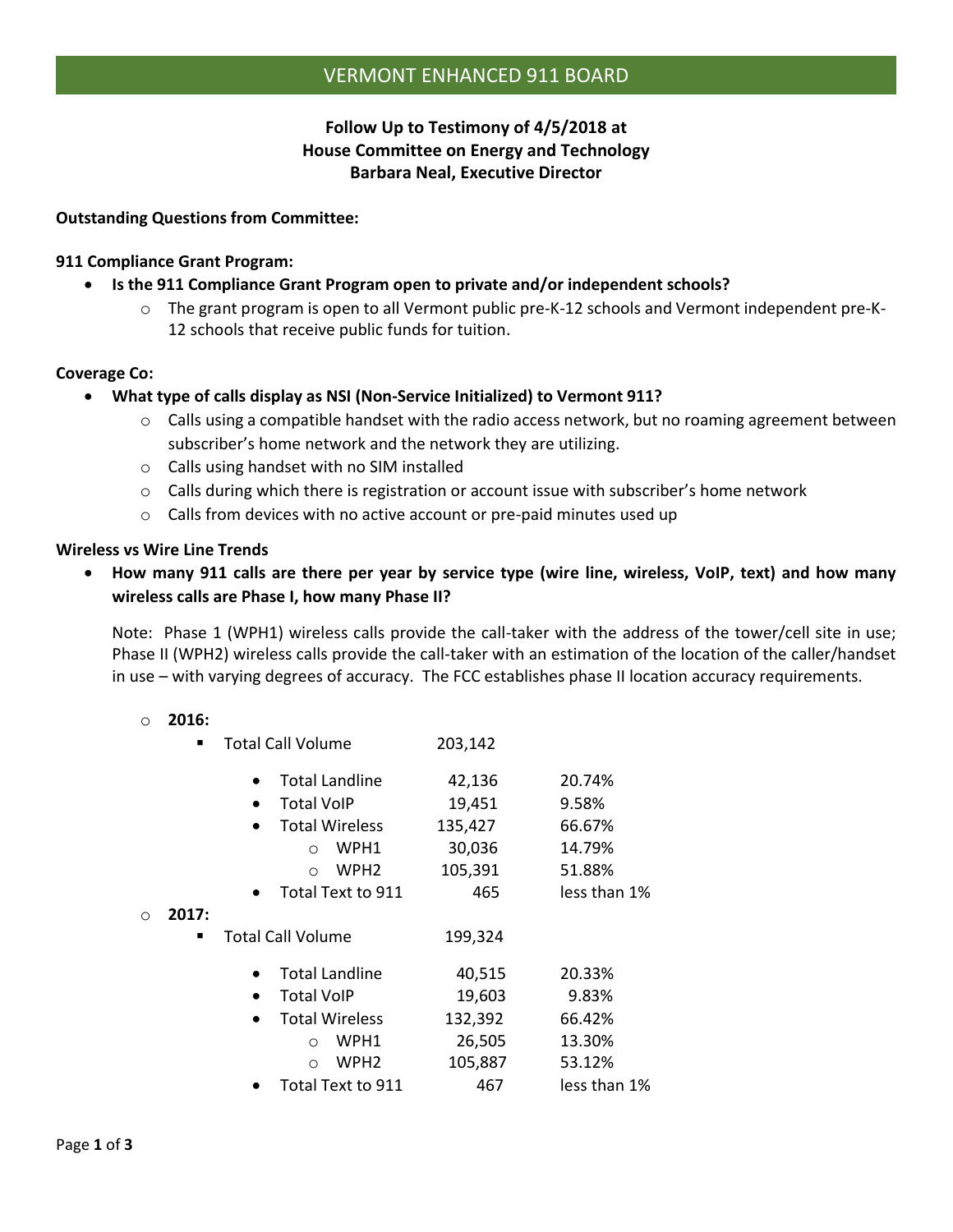# **Follow Up to Testimony of 4/5/2018 at House Committee on Energy and Technology Barbara Neal, Executive Director**

# **Outstanding Questions from Committee:**

## **911 Compliance Grant Program:**

- **Is the 911 Compliance Grant Program open to private and/or independent schools?**
	- o The grant program is open to all Vermont public pre-K-12 schools and Vermont independent pre-K-12 schools that receive public funds for tuition.

## **Coverage Co:**

- **What type of calls display as NSI (Non-Service Initialized) to Vermont 911?**
	- $\circ$  Calls using a compatible handset with the radio access network, but no roaming agreement between subscriber's home network and the network they are utilizing.
	- o Calls using handset with no SIM installed
	- $\circ$  Calls during which there is registration or account issue with subscriber's home network
	- o Calls from devices with no active account or pre-paid minutes used up

#### **Wireless vs Wire Line Trends**

• **How many 911 calls are there per year by service type (wire line, wireless, VoIP, text) and how many wireless calls are Phase I, how many Phase II?**

Note: Phase 1 (WPH1) wireless calls provide the call-taker with the address of the tower/cell site in use; Phase II (WPH2) wireless calls provide the call-taker with an estimation of the location of the caller/handset in use – with varying degrees of accuracy. The FCC establishes phase II location accuracy requirements.

#### o **2016:**

|          |       | <b>Total Call Volume</b>           | 203,142 |              |
|----------|-------|------------------------------------|---------|--------------|
|          |       | <b>Total Landline</b>              | 42,136  | 20.74%       |
|          |       | <b>Total VoIP</b>                  | 19,451  | 9.58%        |
|          |       | <b>Total Wireless</b>              | 135,427 | 66.67%       |
|          |       | WPH1<br>$\circ$                    | 30,036  | 14.79%       |
|          |       | WPH <sub>2</sub><br>$\Omega$       | 105,391 | 51.88%       |
|          |       | Total Text to 911                  | 465     | less than 1% |
| $\Omega$ | 2017: |                                    |         |              |
|          |       | Total Call Volume                  | 199,324 |              |
|          |       | <b>Total Landline</b>              | 40,515  | 20.33%       |
|          |       | <b>Total VoIP</b><br>$\bullet$     | 19,603  | 9.83%        |
|          |       | <b>Total Wireless</b><br>$\bullet$ | 132,392 | 66.42%       |
|          |       | WPH1<br>$\Omega$                   | 26,505  | 13.30%       |
|          |       | WPH <sub>2</sub><br>$\Omega$       | 105,887 | 53.12%       |
|          |       | Total Text to 911                  | 467     | less than 1% |
|          |       |                                    |         |              |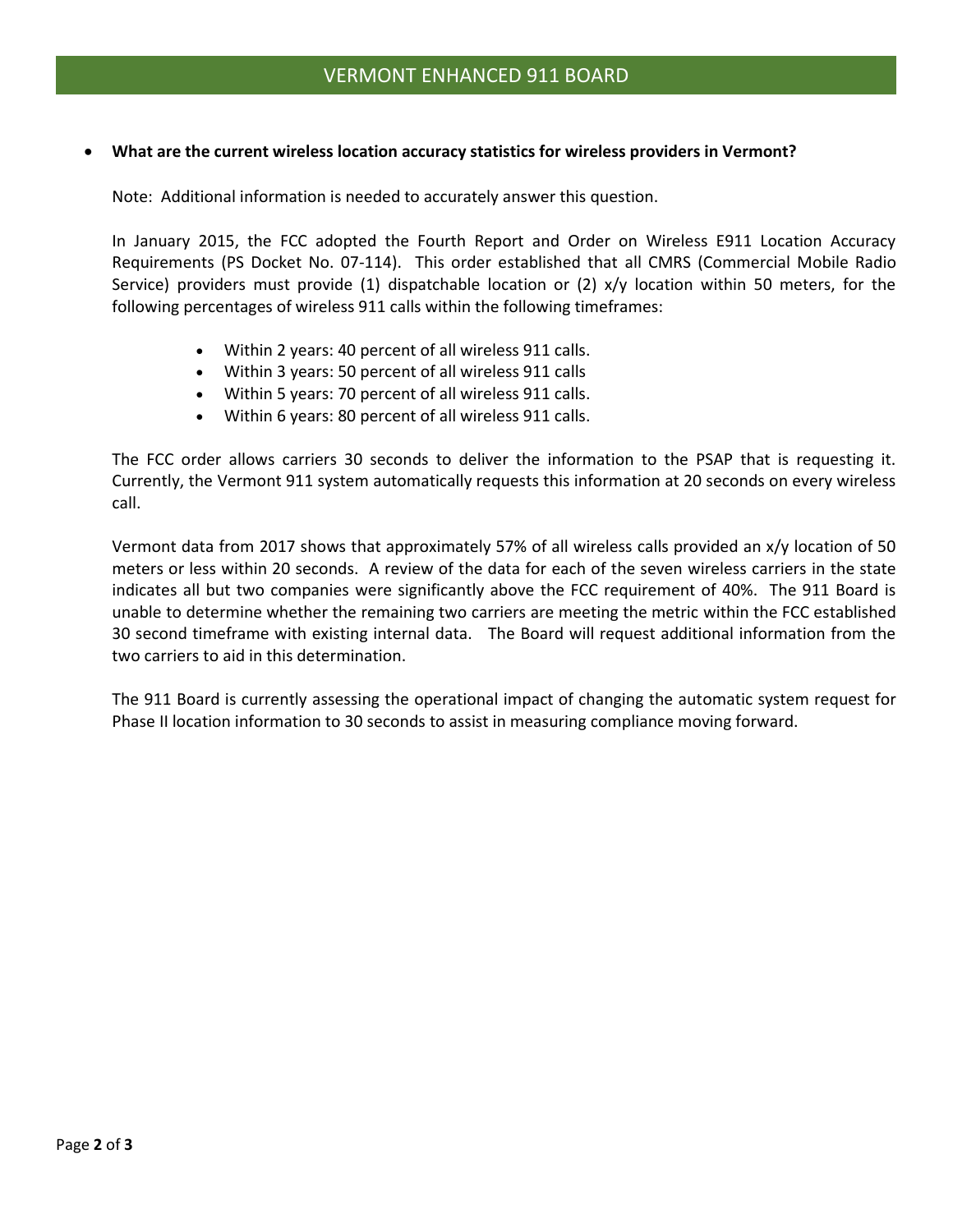#### • **What are the current wireless location accuracy statistics for wireless providers in Vermont?**

Note: Additional information is needed to accurately answer this question.

In January 2015, the FCC adopted the Fourth Report and Order on Wireless E911 Location Accuracy Requirements (PS Docket No. 07-114). This order established that all CMRS (Commercial Mobile Radio Service) providers must provide (1) dispatchable location or (2) x/y location within 50 meters, for the following percentages of wireless 911 calls within the following timeframes:

- Within 2 years: 40 percent of all wireless 911 calls.
- Within 3 years: 50 percent of all wireless 911 calls
- Within 5 years: 70 percent of all wireless 911 calls.
- Within 6 years: 80 percent of all wireless 911 calls.

The FCC order allows carriers 30 seconds to deliver the information to the PSAP that is requesting it. Currently, the Vermont 911 system automatically requests this information at 20 seconds on every wireless call.

Vermont data from 2017 shows that approximately 57% of all wireless calls provided an x/y location of 50 meters or less within 20 seconds. A review of the data for each of the seven wireless carriers in the state indicates all but two companies were significantly above the FCC requirement of 40%. The 911 Board is unable to determine whether the remaining two carriers are meeting the metric within the FCC established 30 second timeframe with existing internal data. The Board will request additional information from the two carriers to aid in this determination.

The 911 Board is currently assessing the operational impact of changing the automatic system request for Phase II location information to 30 seconds to assist in measuring compliance moving forward.